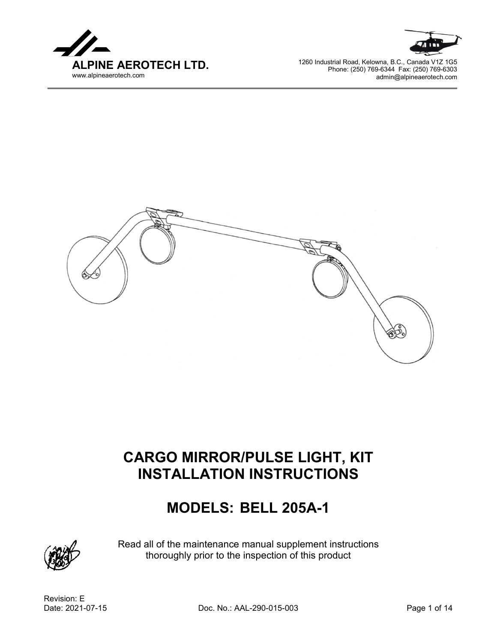





# **CARGO MIRROR/PULSE LIGHT, KIT INSTALLATION INSTRUCTIONS**

# **MODELS: BELL 205A-1**



Read all of the maintenance manual supplement instructions thoroughly prior to the inspection of this product

Revision: E<br>Date: 2021-07-15

Doc. No.: AAL-290-015-003 Page 1 of 14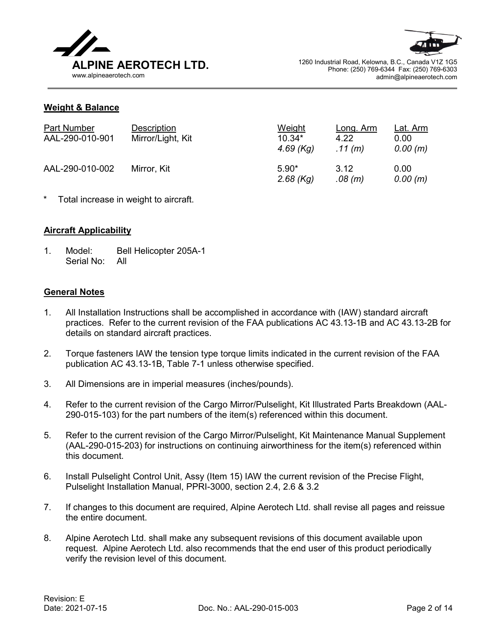



#### **Weight & Balance**

| <b>Part Number</b><br>AAL-290-010-901 | <b>Description</b><br>Mirror/Light, Kit | <b>Weight</b><br>$10.34*$<br>$4.69$ (Kg) | Long. Arm<br>4.22<br>.11(m) | Lat. Arm<br>0.00<br>0.00(m) |
|---------------------------------------|-----------------------------------------|------------------------------------------|-----------------------------|-----------------------------|
| AAL-290-010-002                       | Mirror, Kit                             | $5.90*$<br>$2.68$ (Kg)                   | 3.12<br>.08 (m)             | 0.00<br>0.00(m)             |

\* Total increase in weight to aircraft.

## **Aircraft Applicability**

1. Model: Bell Helicopter 205A-1 Serial No: All

#### **General Notes**

- 1. All Installation Instructions shall be accomplished in accordance with (IAW) standard aircraft practices. Refer to the current revision of the FAA publications AC 43.13-1B and AC 43.13-2B for details on standard aircraft practices.
- 2. Torque fasteners IAW the tension type torque limits indicated in the current revision of the FAA publication AC 43.13-1B, Table 7-1 unless otherwise specified.
- 3. All Dimensions are in imperial measures (inches/pounds).
- 4. Refer to the current revision of the Cargo Mirror/Pulselight, Kit Illustrated Parts Breakdown (AAL-290-015-103) for the part numbers of the item(s) referenced within this document.
- 5. Refer to the current revision of the Cargo Mirror/Pulselight, Kit Maintenance Manual Supplement (AAL-290-015-203) for instructions on continuing airworthiness for the item(s) referenced within this document.
- 6. Install Pulselight Control Unit, Assy (Item 15) IAW the current revision of the Precise Flight, Pulselight Installation Manual, PPRI-3000, section 2.4, 2.6 & 3.2
- 7. If changes to this document are required, Alpine Aerotech Ltd. shall revise all pages and reissue the entire document.
- 8. Alpine Aerotech Ltd. shall make any subsequent revisions of this document available upon request. Alpine Aerotech Ltd. also recommends that the end user of this product periodically verify the revision level of this document.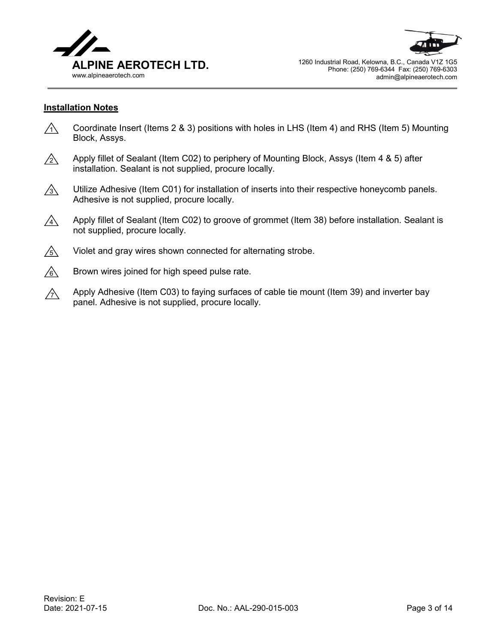



#### **Installation Notes**

- Coordinate Insert (Items 2 & 3) positions with holes in LHS (Item 4) and RHS (Item 5) Mounting Block, Assys.  $\bigwedge$
- Apply fillet of Sealant (Item C02) to periphery of Mounting Block, Assys (Item 4 & 5) after installation. Sealant is not supplied, procure locally.  $/2$
- Utilize Adhesive (Item C01) for installation of inserts into their respective honeycomb panels. Adhesive is not supplied, procure locally.  $\sqrt{3}$
- Apply fillet of Sealant (Item C02) to groove of grommet (Item 38) before installation. Sealant is not supplied, procure locally.  $\sqrt{4}$
- Violet and gray wires shown connected for alternating strobe.  $\sqrt{5}$
- Brown wires joined for high speed pulse rate.  $\sqrt{6}$
- Apply Adhesive (Item C03) to faying surfaces of cable tie mount (Item 39) and inverter bay panel. Adhesive is not supplied, procure locally.  $\bigwedge$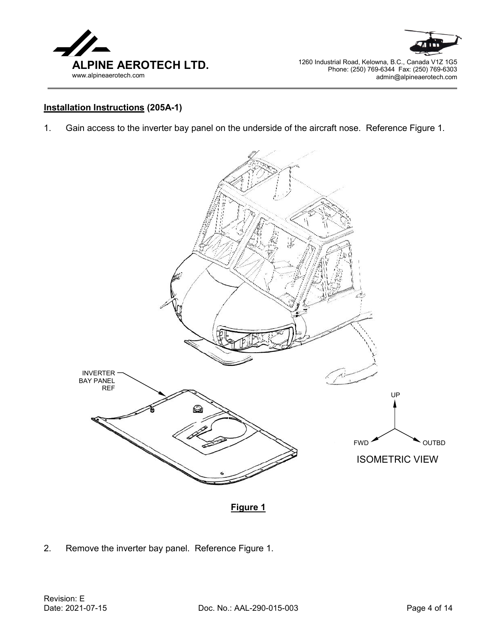



1. Gain access to the inverter bay panel on the underside of the aircraft nose. Reference Figure 1.



**Figure 1**

2. Remove the inverter bay panel. Reference Figure 1.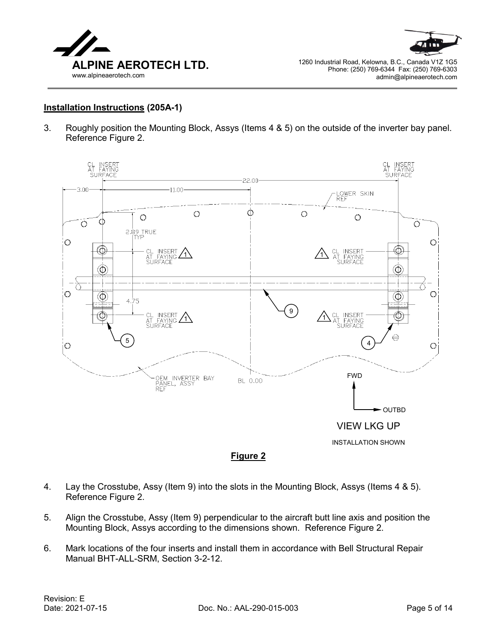



3. Roughly position the Mounting Block, Assys (Items 4 & 5) on the outside of the inverter bay panel. Reference Figure 2.





- 4. Lay the Crosstube, Assy (Item 9) into the slots in the Mounting Block, Assys (Items 4 & 5). Reference Figure 2.
- 5. Align the Crosstube, Assy (Item 9) perpendicular to the aircraft butt line axis and position the Mounting Block, Assys according to the dimensions shown. Reference Figure 2.
- 6. Mark locations of the four inserts and install them in accordance with Bell Structural Repair Manual BHT-ALL-SRM, Section 3-2-12.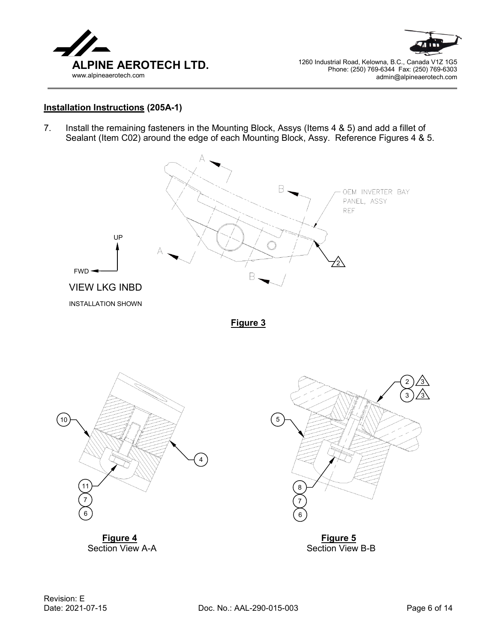

### **Installation Instructions (205A-1)**

7. Install the remaining fasteners in the Mounting Block, Assys (Items 4 & 5) and add a fillet of Sealant (Item C02) around the edge of each Mounting Block, Assy. Reference Figures 4 & 5.









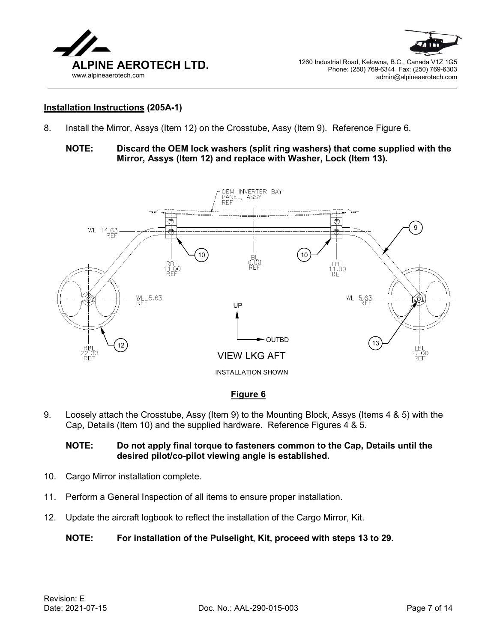

### **Installation Instructions (205A-1)**

8. Install the Mirror, Assys (Item 12) on the Crosstube, Assy (Item 9). Reference Figure 6.

## **NOTE: Discard the OEM lock washers (split ring washers) that come supplied with the Mirror, Assys (Item 12) and replace with Washer, Lock (Item 13).**



#### **Figure 6**

9. Loosely attach the Crosstube, Assy (Item 9) to the Mounting Block, Assys (Items 4 & 5) with the Cap, Details (Item 10) and the supplied hardware. Reference Figures 4 & 5.

### **NOTE: Do not apply final torque to fasteners common to the Cap, Details until the desired pilot/co-pilot viewing angle is established.**

- 10. Cargo Mirror installation complete.
- 11. Perform a General Inspection of all items to ensure proper installation.
- 12. Update the aircraft logbook to reflect the installation of the Cargo Mirror, Kit.

#### **NOTE: For installation of the Pulselight, Kit, proceed with steps 13 to 29.**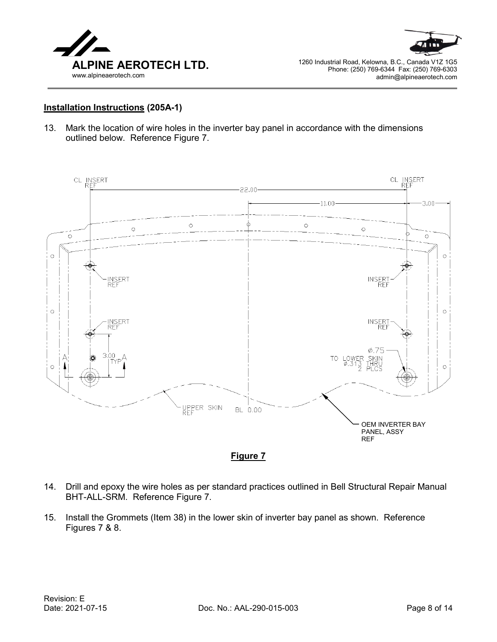



#### **Installation Instructions (205A-1)**

13. Mark the location of wire holes in the inverter bay panel in accordance with the dimensions outlined below. Reference Figure 7.



**Figure 7**

- 14. Drill and epoxy the wire holes as per standard practices outlined in Bell Structural Repair Manual BHT-ALL-SRM. Reference Figure 7.
- 15. Install the Grommets (Item 38) in the lower skin of inverter bay panel as shown. Reference Figures 7 & 8.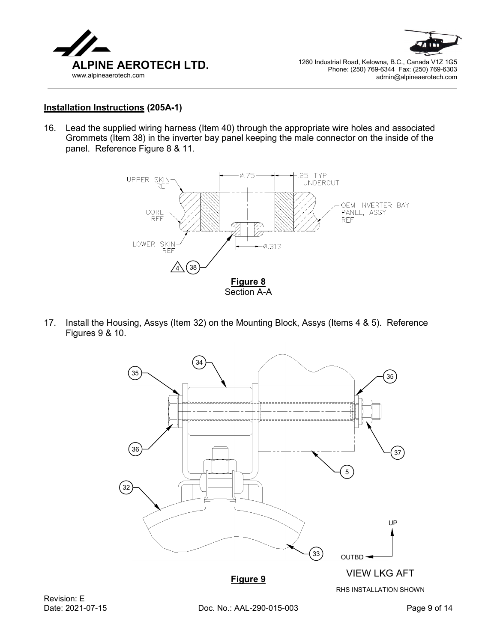

16. Lead the supplied wiring harness (Item 40) through the appropriate wire holes and associated Grommets (Item 38) in the inverter bay panel keeping the male connector on the inside of the panel. Reference Figure 8 & 11.



17. Install the Housing, Assys (Item 32) on the Mounting Block, Assys (Items 4 & 5). Reference Figures 9 & 10.

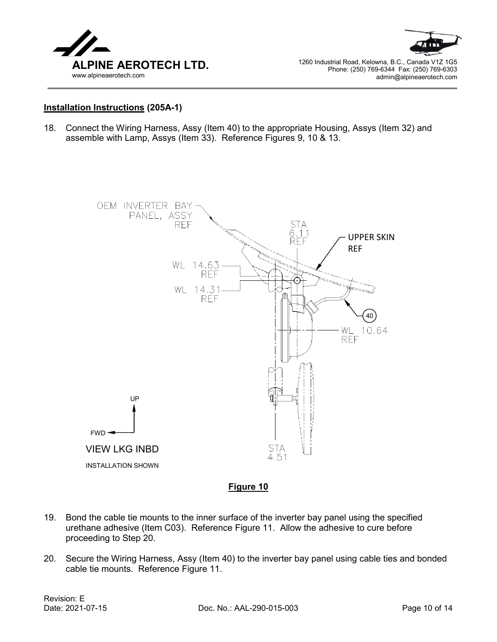

#### **Installation Instructions (205A-1)**

18. Connect the Wiring Harness, Assy (Item 40) to the appropriate Housing, Assys (Item 32) and assemble with Lamp, Assys (Item 33). Reference Figures 9, 10 & 13.



## **Figure 10**

- 19. Bond the cable tie mounts to the inner surface of the inverter bay panel using the specified urethane adhesive (Item C03). Reference Figure 11. Allow the adhesive to cure before proceeding to Step 20.
- 20. Secure the Wiring Harness, Assy (Item 40) to the inverter bay panel using cable ties and bonded cable tie mounts. Reference Figure 11.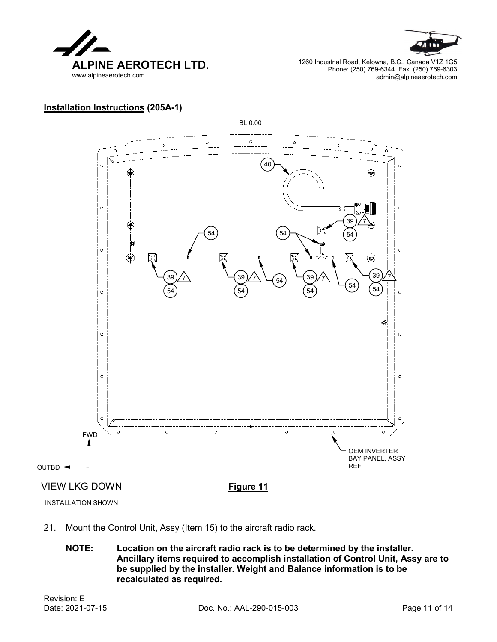



# **Installation Instructions (205A-1)**





- 21. Mount the Control Unit, Assy (Item 15) to the aircraft radio rack.
	- **NOTE: Location on the aircraft radio rack is to be determined by the installer. Ancillary items required to accomplish installation of Control Unit, Assy are to be supplied by the installer. Weight and Balance information is to be recalculated as required.**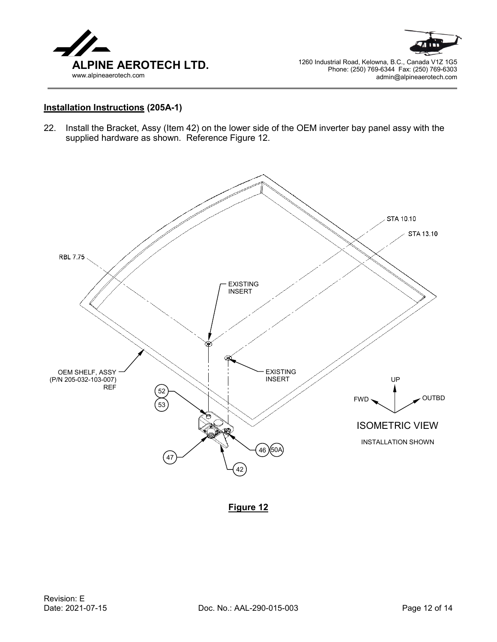

# **Installation Instructions (205A-1)**

22. Install the Bracket, Assy (Item 42) on the lower side of the OEM inverter bay panel assy with the supplied hardware as shown. Reference Figure 12.



**Figure 12**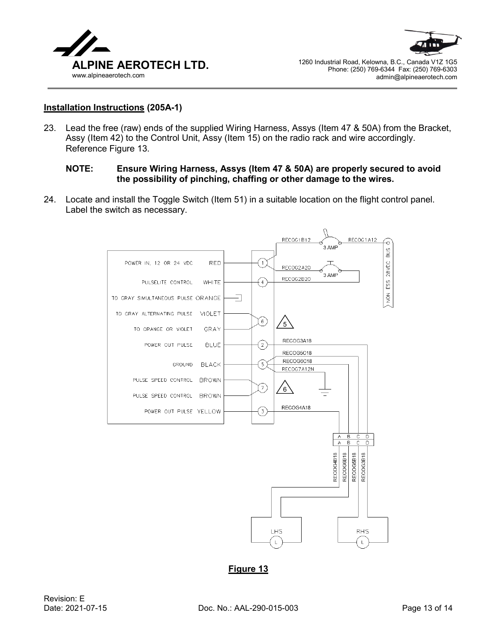

23. Lead the free (raw) ends of the supplied Wiring Harness, Assys (Item 47 & 50A) from the Bracket, Assy (Item 42) to the Control Unit, Assy (Item 15) on the radio rack and wire accordingly. Reference Figure 13.

### **NOTE: Ensure Wiring Harness, Assys (Item 47 & 50A) are properly secured to avoid the possibility of pinching, chaffing or other damage to the wires.**

24. Locate and install the Toggle Switch (Item 51) in a suitable location on the flight control panel. Label the switch as necessary.



**Figure 13**